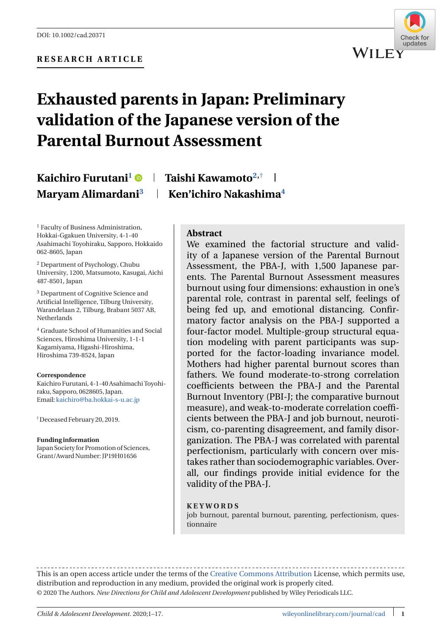

# **Exhausted parents in Japan: Preliminary validation of the Japanese version of the Parental Burnout Assessment**

## **Kaichiro Furutani<sup>1</sup> Taishi Kawamoto2,**† **Maryam Alimardani**<sup>3</sup> | **Ken'ichiro Nakashima**<sup>4</sup>

<sup>1</sup> Faculty of Business Administration, Hokkai-Ggakuen University, 4-1-40 Asahimachi Toyohiraku, Sapporo, Hokkaido 062-8605, Japan

<sup>2</sup> Department of Psychology, Chubu University, 1200, Matsumoto, Kasugai, Aichi 487-8501, Japan

<sup>3</sup> Department of Cognitive Science and Artificial Intelligence, Tilburg University, Warandelaan 2, Tilburg, Brabant 5037 AB, Netherlands

<sup>4</sup> Graduate School of Humanities and Social Sciences, Hiroshima University, 1-1-1 Kagamiyama, Higashi-Hiroshima, Hiroshima 739-8524, Japan

#### **Correspondence**

Kaichiro Furutani, 4-1-40 Asahimachi Toyohiraku, Sapporo, 0628605, Japan. Email: [kaichiro@ba.hokkai-s-u.ac.jp](mailto:kaichiro@ba.hokkai-s-u.ac.jp)

†Deceased February 20, 2019.

#### **Funding information**

Japan Society for Promotion of Sciences, Grant/Award Number: JP19H01656

#### **Abstract**

We examined the factorial structure and validity of a Japanese version of the Parental Burnout Assessment, the PBA-J, with 1,500 Japanese parents. The Parental Burnout Assessment measures burnout using four dimensions: exhaustion in one's parental role, contrast in parental self, feelings of being fed up, and emotional distancing. Confirmatory factor analysis on the PBA-J supported a four-factor model. Multiple-group structural equation modeling with parent participants was supported for the factor-loading invariance model. Mothers had higher parental burnout scores than fathers. We found moderate-to-strong correlation coefficients between the PBA-J and the Parental Burnout Inventory (PBI-J; the comparative burnout measure), and weak-to-moderate correlation coefficients between the PBA-J and job burnout, neuroticism, co-parenting disagreement, and family disorganization. The PBA-J was correlated with parental perfectionism, particularly with concern over mistakes rather than sociodemographic variables. Overall, our findings provide initial evidence for the validity of the PBA-J.

#### **KEYWORDS**

job burnout, parental burnout, parenting, perfectionism, questionnaire

This is an open access article under the terms of the [Creative Commons Attribution](http://creativecommons.org/licenses/by/4.0/) License, which permits use, distribution and reproduction in any medium, provided the original work is properly cited. © 2020 The Authors. *New Directions for Child and Adolescent Development* published by Wiley Periodicals LLC.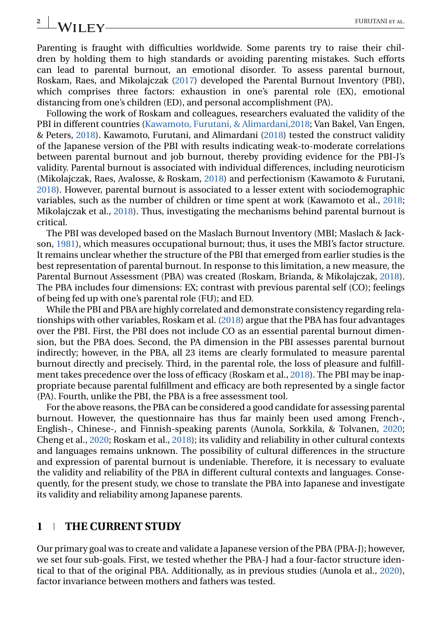### Parenting is fraught with difficulties worldwide. Some parents try to raise their children by holding them to high standards or avoiding parenting mistakes. Such efforts can lead to parental burnout, an emotional disorder. To assess parental burnout, Roskam, Raes, and Mikolajczak [\(2017\)](#page-15-0) developed the Parental Burnout Inventory (PBI), which comprises three factors: exhaustion in one's parental role (EX), emotional distancing from one's children (ED), and personal accomplishment (PA).

Following the work of Roskam and colleagues, researchers evaluated the validity of the PBI in different countries [\(Kawamoto, Furutani, & Alimardani,2018;](#page-14-0) Van Bakel, Van Engen, & Peters, [2018\)](#page-16-0). Kawamoto, Furutani, and Alimardani [\(2018\)](#page-15-0) tested the construct validity of the Japanese version of the PBI with results indicating weak-to-moderate correlations between parental burnout and job burnout, thereby providing evidence for the PBI-J's validity. Parental burnout is associated with individual differences, including neuroticism (Mikolajczak, Raes, Avalosse, & Roskam, [2018\)](#page-15-0) and perfectionism (Kawamoto & Furutani, [2018\)](#page-15-0). However, parental burnout is associated to a lesser extent with sociodemographic variables, such as the number of children or time spent at work (Kawamoto et al., [2018;](#page-15-0) Mikolajczak et al., [2018\)](#page-15-0). Thus, investigating the mechanisms behind parental burnout is critical.

The PBI was developed based on the Maslach Burnout Inventory (MBI; Maslach & Jackson, [1981\)](#page-15-0), which measures occupational burnout; thus, it uses the MBI's factor structure. It remains unclear whether the structure of the PBI that emerged from earlier studies is the best representation of parental burnout. In response to this limitation, a new measure, the Parental Burnout Assessment (PBA) was created (Roskam, Brianda, & Mikolajczak, [2018\)](#page-15-0). The PBA includes four dimensions: EX; contrast with previous parental self (CO); feelings of being fed up with one's parental role (FU); and ED.

While the PBI and PBA are highly correlated and demonstrate consistency regarding relationships with other variables, Roskam et al. [\(2018\)](#page-15-0) argue that the PBA has four advantages over the PBI. First, the PBI does not include CO as an essential parental burnout dimension, but the PBA does. Second, the PA dimension in the PBI assesses parental burnout indirectly; however, in the PBA, all 23 items are clearly formulated to measure parental burnout directly and precisely. Third, in the parental role, the loss of pleasure and fulfillment takes precedence over the loss of efficacy (Roskam et al., [2018\)](#page-15-0). The PBI may be inappropriate because parental fulfillment and efficacy are both represented by a single factor (PA). Fourth, unlike the PBI, the PBA is a free assessment tool.

For the above reasons, the PBA can be considered a good candidate for assessing parental burnout. However, the questionnaire has thus far mainly been used among French-, English-, Chinese-, and Finnish-speaking parents (Aunola, Sorkkila, & Tolvanen, [2020;](#page-14-0) Cheng et al., [2020;](#page-14-0) Roskam et al., [2018\)](#page-15-0); its validity and reliability in other cultural contexts and languages remains unknown. The possibility of cultural differences in the structure and expression of parental burnout is undeniable. Therefore, it is necessary to evaluate the validity and reliability of the PBA in different cultural contexts and languages. Consequently, for the present study, we chose to translate the PBA into Japanese and investigate its validity and reliability among Japanese parents.

### **1 THE CURRENT STUDY**

Our primary goal was to create and validate a Japanese version of the PBA (PBA-J); however, we set four sub-goals. First, we tested whether the PBA-J had a four-factor structure identical to that of the original PBA. Additionally, as in previous studies (Aunola et al., [2020\)](#page-14-0), factor invariance between mothers and fathers was tested.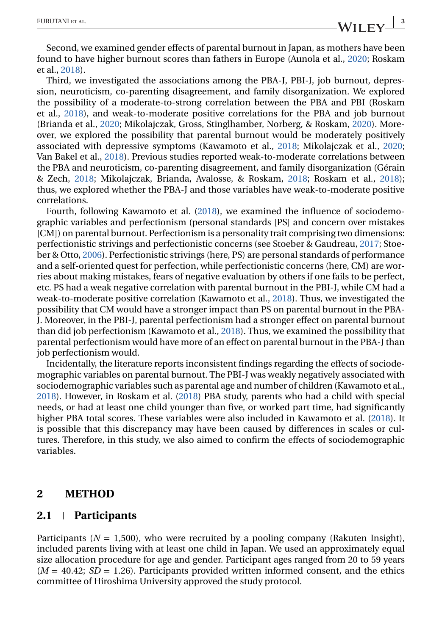Second, we examined gender effects of parental burnout in Japan, as mothers have been found to have higher burnout scores than fathers in Europe (Aunola et al., [2020;](#page-14-0) Roskam et al., [2018\)](#page-15-0).

Third, we investigated the associations among the PBA-J, PBI-J, job burnout, depression, neuroticism, co-parenting disagreement, and family disorganization. We explored the possibility of a moderate-to-strong correlation between the PBA and PBI (Roskam et al., [2018\)](#page-15-0), and weak-to-moderate positive correlations for the PBA and job burnout (Brianda et al., [2020;](#page-14-0) Mikolajczak, Gross, Stinglhamber, Norberg, & Roskam, [2020\)](#page-15-0). Moreover, we explored the possibility that parental burnout would be moderately positively associated with depressive symptoms (Kawamoto et al., [2018;](#page-15-0) Mikolajczak et al., [2020;](#page-15-0) Van Bakel et al., [2018\)](#page-16-0). Previous studies reported weak-to-moderate correlations between the PBA and neuroticism, co-parenting disagreement, and family disorganization (Gérain & Zech, [2018;](#page-14-0) Mikolajczak, Brianda, Avalosse, & Roskam, [2018;](#page-15-0) Roskam et al., [2018\)](#page-15-0); thus, we explored whether the PBA-J and those variables have weak-to-moderate positive correlations.

Fourth, following Kawamoto et al. [\(2018\)](#page-15-0), we examined the influence of sociodemographic variables and perfectionism (personal standards [PS] and concern over mistakes [CM]) on parental burnout. Perfectionism is a personality trait comprising two dimensions: perfectionistic strivings and perfectionistic concerns (see Stoeber & Gaudreau, [2017;](#page-15-0) Stoeber & Otto, [2006\)](#page-15-0). Perfectionistic strivings (here, PS) are personal standards of performance and a self-oriented quest for perfection, while perfectionistic concerns (here, CM) are worries about making mistakes, fears of negative evaluation by others if one fails to be perfect, etc. PS had a weak negative correlation with parental burnout in the PBI-J, while CM had a weak-to-moderate positive correlation (Kawamoto et al., [2018\)](#page-15-0). Thus, we investigated the possibility that CM would have a stronger impact than PS on parental burnout in the PBA-J. Moreover, in the PBI-J, parental perfectionism had a stronger effect on parental burnout than did job perfectionism (Kawamoto et al., [2018\)](#page-15-0). Thus, we examined the possibility that parental perfectionism would have more of an effect on parental burnout in the PBA-J than job perfectionism would.

Incidentally, the literature reports inconsistent findings regarding the effects of sociodemographic variables on parental burnout. The PBI-J was weakly negatively associated with sociodemographic variables such as parental age and number of children (Kawamoto et al., [2018\)](#page-15-0). However, in Roskam et al. [\(2018\)](#page-15-0) PBA study, parents who had a child with special needs, or had at least one child younger than five, or worked part time, had significantly higher PBA total scores. These variables were also included in Kawamoto et al. [\(2018\)](#page-15-0). It is possible that this discrepancy may have been caused by differences in scales or cultures. Therefore, in this study, we also aimed to confirm the effects of sociodemographic variables.

#### **2 METHOD**

#### **2.1 Participants**

Participants ( $N = 1,500$ ), who were recruited by a pooling company (Rakuten Insight), included parents living with at least one child in Japan. We used an approximately equal size allocation procedure for age and gender. Participant ages ranged from 20 to 59 years  $(M = 40.42; SD = 1.26)$ . Participants provided written informed consent, and the ethics committee of Hiroshima University approved the study protocol.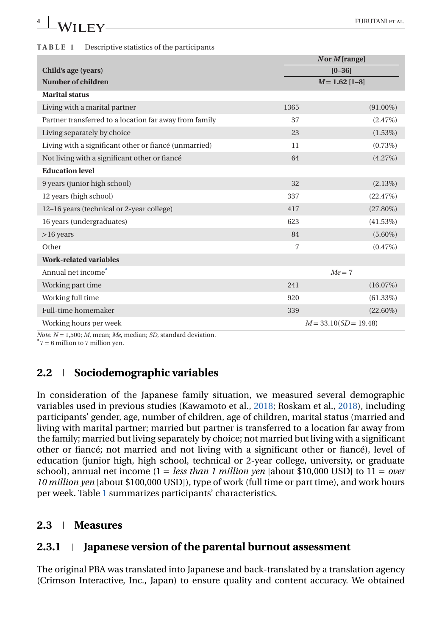| TABLE 1 | Descriptive statistics of the participants |  |
|---------|--------------------------------------------|--|
|---------|--------------------------------------------|--|

| $N$ or $M$ [range]                                     |                |                         |  |  |  |  |  |
|--------------------------------------------------------|----------------|-------------------------|--|--|--|--|--|
| Child's age (years)                                    |                | $[0 - 36]$              |  |  |  |  |  |
| Number of children                                     |                | $M = 1.62$ [1-8]        |  |  |  |  |  |
| <b>Marital status</b>                                  |                |                         |  |  |  |  |  |
| Living with a marital partner                          | 1365           | $(91.00\%)$             |  |  |  |  |  |
| Partner transferred to a location far away from family | 37             | $(2.47\%)$              |  |  |  |  |  |
| Living separately by choice                            | 23             | $(1.53\%)$              |  |  |  |  |  |
| Living with a significant other or fiancé (unmarried)  | 11             | $(0.73\%)$              |  |  |  |  |  |
| Not living with a significant other or fiancé          | 64             | $(4.27\%)$              |  |  |  |  |  |
| <b>Education level</b>                                 |                |                         |  |  |  |  |  |
| 9 years (junior high school)                           | 32             | $(2.13\%)$              |  |  |  |  |  |
| 12 years (high school)                                 | 337            | (22.47%)                |  |  |  |  |  |
| 12-16 years (technical or 2-year college)              | 417            | $(27.80\%)$             |  |  |  |  |  |
| 16 years (undergraduates)                              | 623            | $(41.53\%)$             |  |  |  |  |  |
| $>16$ years                                            | 84             | $(5.60\%)$              |  |  |  |  |  |
| Other                                                  | $\overline{7}$ | $(0.47\%)$              |  |  |  |  |  |
| <b>Work-related variables</b>                          |                |                         |  |  |  |  |  |
| Annual net income <sup>a</sup>                         |                | $Me = 7$                |  |  |  |  |  |
| Working part time                                      | 241            | $(16.07\%)$             |  |  |  |  |  |
| Working full time                                      | 920            | $(61.33\%)$             |  |  |  |  |  |
| Full-time homemaker                                    | 339            | $(22.60\%)$             |  |  |  |  |  |
| Working hours per week                                 |                | $M = 33.10(SD = 19.48)$ |  |  |  |  |  |

*Note*.  $N = 1,500$ ;  $M$ , mean;  $Me$ , median; *SD*, standard deviation.

 $17 = 6$  million to 7 million yen.

### **2.2 Sociodemographic variables**

In consideration of the Japanese family situation, we measured several demographic variables used in previous studies (Kawamoto et al., [2018;](#page-15-0) Roskam et al., [2018\)](#page-15-0), including participants' gender, age, number of children, age of children, marital status (married and living with marital partner; married but partner is transferred to a location far away from the family; married but living separately by choice; not married but living with a significant other or fiancé; not married and not living with a significant other or fiancé), level of education (junior high, high school, technical or 2-year college, university, or graduate school), annual net income (1 = *less than 1 million yen* [about \$10,000 USD] to 11 = *over 10 million yen* [about \$100,000 USD]), type of work (full time or part time), and work hours per week. Table 1 summarizes participants' characteristics.

### **2.3 Measures**

### **2.3.1 Japanese version of the parental burnout assessment**

The original PBA was translated into Japanese and back-translated by a translation agency (Crimson Interactive, Inc., Japan) to ensure quality and content accuracy. We obtained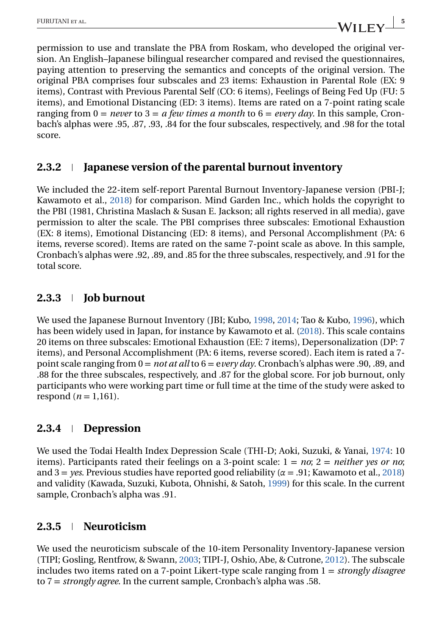permission to use and translate the PBA from Roskam, who developed the original version. An English–Japanese bilingual researcher compared and revised the questionnaires, paying attention to preserving the semantics and concepts of the original version. The original PBA comprises four subscales and 23 items: Exhaustion in Parental Role (EX: 9 items), Contrast with Previous Parental Self (CO: 6 items), Feelings of Being Fed Up (FU: 5 items), and Emotional Distancing (ED: 3 items). Items are rated on a 7-point rating scale ranging from 0 = *never* to 3 = *a few times a month* to 6 = *every day*. In this sample, Cronbach's alphas were .95, .87, .93, .84 for the four subscales, respectively, and .98 for the total score.

### **2.3.2 Japanese version of the parental burnout inventory**

We included the 22-item self-report Parental Burnout Inventory-Japanese version (PBI-J; Kawamoto et al., [2018\)](#page-15-0) for comparison. Mind Garden Inc., which holds the copyright to the PBI (1981, Christina Maslach & Susan E. Jackson; all rights reserved in all media), gave permission to alter the scale. The PBI comprises three subscales: Emotional Exhaustion (EX: 8 items), Emotional Distancing (ED: 8 items), and Personal Accomplishment (PA: 6 items, reverse scored). Items are rated on the same 7-point scale as above. In this sample, Cronbach's alphas were .92, .89, and .85 for the three subscales, respectively, and .91 for the total score.

## **2.3.3 Job burnout**

We used the Japanese Burnout Inventory (JBI; Kubo, [1998,](#page-15-0) [2014;](#page-15-0) Tao & Kubo, [1996\)](#page-16-0), which has been widely used in Japan, for instance by Kawamoto et al. [\(2018\)](#page-15-0). This scale contains 20 items on three subscales: Emotional Exhaustion (EE: 7 items), Depersonalization (DP: 7 items), and Personal Accomplishment (PA: 6 items, reverse scored). Each item is rated a 7 point scale ranging from 0 = *not at all* to 6 = e*very day*. Cronbach's alphas were .90, .89, and .88 for the three subscales, respectively, and .87 for the global score. For job burnout, only participants who were working part time or full time at the time of the study were asked to respond ( $n = 1,161$ ).

### **2.3.4 Depression**

We used the Todai Health Index Depression Scale (THI-D; Aoki, Suzuki, & Yanai, [1974:](#page-14-0) 10 items). Participants rated their feelings on a 3-point scale: 1 = *no*; 2 = *neither yes or no*; and 3 = *yes*. Previous studies have reported good reliability (*α* = .91; Kawamoto et al., [2018\)](#page-15-0) and validity (Kawada, Suzuki, Kubota, Ohnishi, & Satoh, [1999\)](#page-15-0) for this scale. In the current sample, Cronbach's alpha was .91.

### **2.3.5 Neuroticism**

We used the neuroticism subscale of the 10-item Personality Inventory-Japanese version (TIPI; Gosling, Rentfrow, & Swann, [2003;](#page-14-0) TIPI-J, Oshio, Abe, & Cutrone, [2012\)](#page-15-0). The subscale includes two items rated on a 7-point Likert-type scale ranging from 1 = *strongly disagree* to 7 = *strongly agree*. In the current sample, Cronbach's alpha was .58.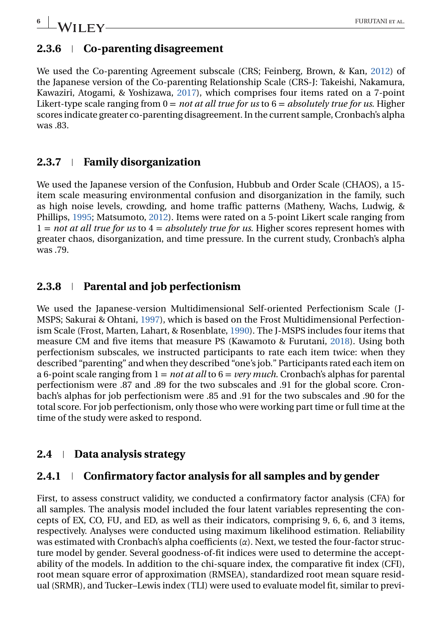### **2.3.6 Co-parenting disagreement**

We used the Co-parenting Agreement subscale (CRS; Feinberg, Brown, & Kan, [2012\)](#page-14-0) of the Japanese version of the Co-parenting Relationship Scale (CRS-J: Takeishi, Nakamura, Kawaziri, Atogami, & Yoshizawa, [2017\)](#page-16-0), which comprises four items rated on a 7-point Likert-type scale ranging from 0 = *not at all true for us* to 6 = *absolutely true for us*. Higher scores indicate greater co-parenting disagreement. In the current sample, Cronbach's alpha was .83.

### **2.3.7 Family disorganization**

We used the Japanese version of the Confusion, Hubbub and Order Scale (CHAOS), a 15 item scale measuring environmental confusion and disorganization in the family, such as high noise levels, crowding, and home traffic patterns (Matheny, Wachs, Ludwig, & Phillips, [1995;](#page-15-0) Matsumoto, [2012\)](#page-15-0). Items were rated on a 5-point Likert scale ranging from 1 = *not at all true for us* to 4 = *absolutely true for us*. Higher scores represent homes with greater chaos, disorganization, and time pressure. In the current study, Cronbach's alpha was .79.

## **2.3.8 Parental and job perfectionism**

We used the Japanese-version Multidimensional Self-oriented Perfectionism Scale (J-MSPS; Sakurai & Ohtani, [1997\)](#page-15-0), which is based on the Frost Multidimensional Perfectionism Scale (Frost, Marten, Lahart, & Rosenblate, [1990\)](#page-14-0). The J-MSPS includes four items that measure CM and five items that measure PS (Kawamoto & Furutani, [2018\)](#page-15-0). Using both perfectionism subscales, we instructed participants to rate each item twice: when they described "parenting" and when they described "one's job." Participants rated each item on a 6-point scale ranging from 1 = *not at all* to 6 = *very much*. Cronbach's alphas for parental perfectionism were .87 and .89 for the two subscales and .91 for the global score. Cronbach's alphas for job perfectionism were .85 and .91 for the two subscales and .90 for the total score. For job perfectionism, only those who were working part time or full time at the time of the study were asked to respond.

## **2.4 Data analysis strategy**

### **2.4.1 Confirmatory factor analysis for all samples and by gender**

First, to assess construct validity, we conducted a confirmatory factor analysis (CFA) for all samples. The analysis model included the four latent variables representing the concepts of EX, CO, FU, and ED, as well as their indicators, comprising 9, 6, 6, and 3 items, respectively. Analyses were conducted using maximum likelihood estimation. Reliability was estimated with Cronbach's alpha coefficients (*α*). Next, we tested the four-factor structure model by gender. Several goodness-of-fit indices were used to determine the acceptability of the models. In addition to the chi-square index, the comparative fit index (CFI), root mean square error of approximation (RMSEA), standardized root mean square residual (SRMR), and Tucker–Lewis index (TLI) were used to evaluate model fit, similar to previ-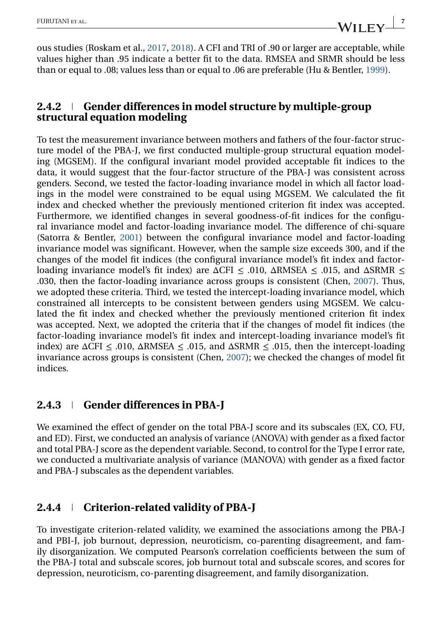ous studies (Roskam et al., [2017,](#page-15-0) [2018\)](#page-15-0). A CFI and TRI of .90 or larger are acceptable, while values higher than .95 indicate a better fit to the data. RMSEA and SRMR should be less than or equal to .08; values less than or equal to .06 are preferable (Hu & Bentler, [1999\)](#page-15-0).

### **2.4.2 Gender differences in model structure by multiple-group structural equation modeling**

To test the measurement invariance between mothers and fathers of the four-factor structure model of the PBA-J, we first conducted multiple-group structural equation modeling (MGSEM). If the configural invariant model provided acceptable fit indices to the data, it would suggest that the four-factor structure of the PBA-J was consistent across genders. Second, we tested the factor-loading invariance model in which all factor loadings in the model were constrained to be equal using MGSEM. We calculated the fit index and checked whether the previously mentioned criterion fit index was accepted. Furthermore, we identified changes in several goodness-of-fit indices for the configural invariance model and factor-loading invariance model. The difference of chi-square (Satorra & Bentler, [2001\)](#page-15-0) between the configural invariance model and factor-loading invariance model was significant. However, when the sample size exceeds 300, and if the changes of the model fit indices (the configural invariance model's fit index and factorloading invariance model's fit index) are  $\Delta$ CFI  $\leq$  .010,  $\Delta$ RMSEA  $\leq$  .015, and  $\Delta$ SRMR  $\leq$ .030, then the factor-loading invariance across groups is consistent (Chen, [2007\)](#page-14-0). Thus, we adopted these criteria. Third, we tested the intercept-loading invariance model, which constrained all intercepts to be consistent between genders using MGSEM. We calculated the fit index and checked whether the previously mentioned criterion fit index was accepted. Next, we adopted the criteria that if the changes of model fit indices (the factor-loading invariance model's fit index and intercept-loading invariance model's fit index) are  $\Delta$ CFI  $\leq$  .010,  $\Delta$ RMSEA  $\leq$  .015, and  $\Delta$ SRMR  $\leq$  .015, then the intercept-loading invariance across groups is consistent (Chen, [2007\)](#page-14-0); we checked the changes of model fit indices.

## **2.4.3 Gender differences in PBA-J**

We examined the effect of gender on the total PBA-J score and its subscales (EX, CO, FU, and ED). First, we conducted an analysis of variance (ANOVA) with gender as a fixed factor and total PBA-J score as the dependent variable. Second, to control for the Type I error rate, we conducted a multivariate analysis of variance (MANOVA) with gender as a fixed factor and PBA-J subscales as the dependent variables.

## **2.4.4 Criterion-related validity of PBA-J**

To investigate criterion-related validity, we examined the associations among the PBA-J and PBI-J, job burnout, depression, neuroticism, co-parenting disagreement, and family disorganization. We computed Pearson's correlation coefficients between the sum of the PBA-J total and subscale scores, job burnout total and subscale scores, and scores for depression, neuroticism, co-parenting disagreement, and family disorganization.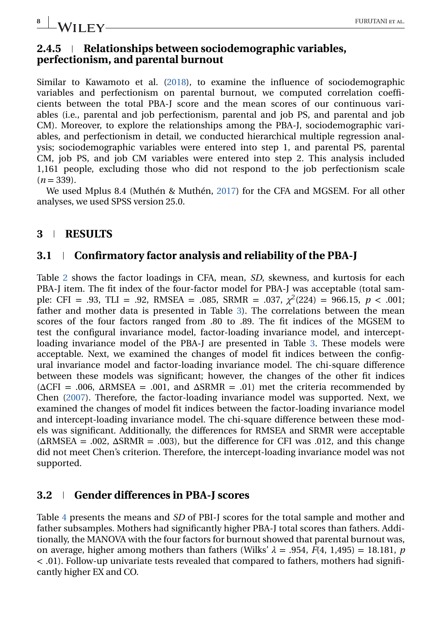# **8 I IVALUE V**

### **2.4.5 Relationships between sociodemographic variables, perfectionism, and parental burnout**

Similar to Kawamoto et al. [\(2018\)](#page-15-0), to examine the influence of sociodemographic variables and perfectionism on parental burnout, we computed correlation coefficients between the total PBA-J score and the mean scores of our continuous variables (i.e., parental and job perfectionism, parental and job PS, and parental and job CM). Moreover, to explore the relationships among the PBA-J, sociodemographic variables, and perfectionism in detail, we conducted hierarchical multiple regression analysis; sociodemographic variables were entered into step 1, and parental PS, parental CM, job PS, and job CM variables were entered into step 2. This analysis included 1,161 people, excluding those who did not respond to the job perfectionism scale  $(n=339)$ .

We used Mplus 8.4 (Muthén & Muthén, [2017\)](#page-15-0) for the CFA and MGSEM. For all other analyses, we used SPSS version 25.0.

### **3 RESULTS**

### **3.1 Confirmatory factor analysis and reliability of the PBA-J**

Table [2](#page-8-0) shows the factor loadings in CFA, mean, *SD*, skewness, and kurtosis for each PBA-J item. The fit index of the four-factor model for PBA-J was acceptable (total sample: CFI = .93, TLI = .92, RMSEA = .085, SRMR = .037,  $\chi^2(224)$  = 966.15,  $p < .001$ ; father and mother data is presented in Table [3\)](#page-9-0). The correlations between the mean scores of the four factors ranged from .80 to .89. The fit indices of the MGSEM to test the configural invariance model, factor-loading invariance model, and interceptloading invariance model of the PBA-J are presented in Table [3.](#page-9-0) These models were acceptable. Next, we examined the changes of model fit indices between the configural invariance model and factor-loading invariance model. The chi-square difference between these models was significant; however, the changes of the other fit indices  $(\Delta \text{CFI} = .006, \Delta \text{RMSEA} = .001, \text{ and } \Delta \text{SRMR} = .01)$  met the criteria recommended by Chen [\(2007\)](#page-14-0). Therefore, the factor-loading invariance model was supported. Next, we examined the changes of model fit indices between the factor-loading invariance model and intercept-loading invariance model. The chi-square difference between these models was significant. Additionally, the differences for RMSEA and SRMR were acceptable  $(\Delta RMSEA = .002, \Delta SRMR = .003)$ , but the difference for CFI was .012, and this change did not meet Chen's criterion. Therefore, the intercept-loading invariance model was not supported.

### **3.2 Gender differences in PBA-J scores**

Table [4](#page-10-0) presents the means and *SD* of PBI-J scores for the total sample and mother and father subsamples. Mothers had significantly higher PBA-J total scores than fathers. Additionally, the MANOVA with the four factors for burnout showed that parental burnout was, on average, higher among mothers than fathers (Wilks'  $\lambda = .954$ ,  $F(4, 1,495) = 18.181$ , *p* < .01). Follow-up univariate tests revealed that compared to fathers, mothers had significantly higher EX and CO.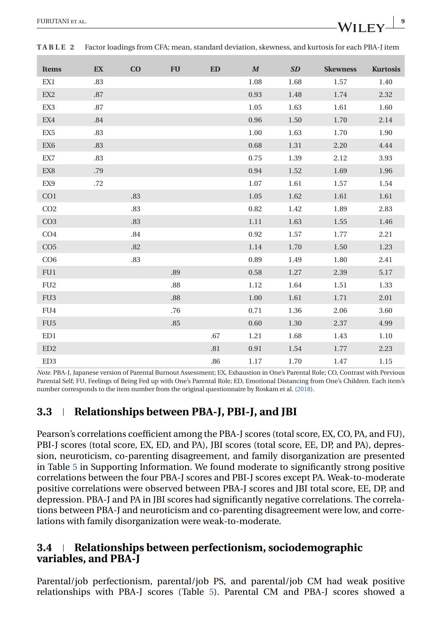| <b>Items</b>    | EX      | CO  | <b>FU</b> | <b>ED</b> | $\boldsymbol{M}$ | SD   | <b>Skewness</b> | <b>Kurtosis</b> |
|-----------------|---------|-----|-----------|-----------|------------------|------|-----------------|-----------------|
| EX <sub>1</sub> | .83     |     |           |           | 1.08             | 1.68 | 1.57            | 1.40            |
| EX <sub>2</sub> | .87     |     |           |           | 0.93             | 1.48 | 1.74            | 2.32            |
| EX3             | .87     |     |           |           | 1.05             | 1.63 | 1.61            | 1.60            |
| EX4             | .84     |     |           |           | 0.96             | 1.50 | 1.70            | 2.14            |
| EX <sub>5</sub> | .83     |     |           |           | 1.00             | 1.63 | 1.70            | 1.90            |
| EX <sub>6</sub> | $.83\,$ |     |           |           | 0.68             | 1.31 | 2.20            | 4.44            |
| EX7             | .83     |     |           |           | 0.75             | 1.39 | 2.12            | 3.93            |
| EX <sub>8</sub> | .79     |     |           |           | 0.94             | 1.52 | 1.69            | 1.96            |
| EX9             | .72     |     |           |           | 1.07             | 1.61 | 1.57            | 1.54            |
| CO <sub>1</sub> |         | .83 |           |           | 1.05             | 1.62 | 1.61            | 1.61            |
| CO <sub>2</sub> |         | .83 |           |           | 0.82             | 1.42 | 1.89            | 2.83            |
| CO <sub>3</sub> |         | .83 |           |           | 1.11             | 1.63 | 1.55            | 1.46            |
| CO <sub>4</sub> |         | .84 |           |           | 0.92             | 1.57 | 1.77            | 2.21            |
| CO <sub>5</sub> |         | .82 |           |           | 1.14             | 1.70 | 1.50            | 1.23            |
| CO6             |         | .83 |           |           | 0.89             | 1.49 | 1.80            | 2.41            |
| FU1             |         |     | .89       |           | 0.58             | 1.27 | 2.39            | 5.17            |
| FU <sub>2</sub> |         |     | $.88\,$   |           | 1.12             | 1.64 | 1.51            | 1.33            |
| FU <sub>3</sub> |         |     | .88       |           | 1.00             | 1.61 | 1.71            | 2.01            |
| FU <sub>4</sub> |         |     | .76       |           | 0.71             | 1.36 | 2.06            | 3.60            |
| FU <sub>5</sub> |         |     | .85       |           | 0.60             | 1.30 | 2.37            | 4.99            |
| ED1             |         |     |           | .67       | 1.21             | 1.68 | 1.43            | 1.10            |
| ED <sub>2</sub> |         |     |           | .81       | 0.91             | 1.54 | 1.77            | 2.23            |
| ED <sub>3</sub> |         |     |           | .86       | 1.17             | 1.70 | 1.47            | 1.15            |

<span id="page-8-0"></span>**TABLE 2** Factor loadings from CFA; mean, standard deviation, skewness, and kurtosis for each PBA-J item

*Note*. PBA-J, Japanese version of Parental Burnout Assessment; EX, Exhaustion in One's Parental Role; CO, Contrast with Previous Parental Self; FU, Feelings of Being Fed up with One's Parental Role; ED, Emotional Distancing from One's Children. Each item's number corresponds to the item number from the original questionnaire by Roskam et al. [\(2018\)](#page-15-0).

### **3.3 Relationships between PBA-J, PBI-J, and JBI**

Pearson's correlations coefficient among the PBA-J scores (total score, EX, CO, PA, and FU), PBI-J scores (total score, EX, ED, and PA), JBI scores (total score, EE, DP, and PA), depression, neuroticism, co-parenting disagreement, and family disorganization are presented in Table [5](#page-11-0) in Supporting Information. We found moderate to significantly strong positive correlations between the four PBA-J scores and PBI-J scores except PA. Weak-to-moderate positive correlations were observed between PBA-J scores and JBI total score, EE, DP, and depression. PBA-J and PA in JBI scores had significantly negative correlations. The correlations between PBA-J and neuroticism and co-parenting disagreement were low, and correlations with family disorganization were weak-to-moderate.

### **3.4 Relationships between perfectionism, sociodemographic variables, and PBA-J**

Parental/job perfectionism, parental/job PS, and parental/job CM had weak positive relationships with PBA-J scores (Table [5\)](#page-11-0). Parental CM and PBA-J scores showed a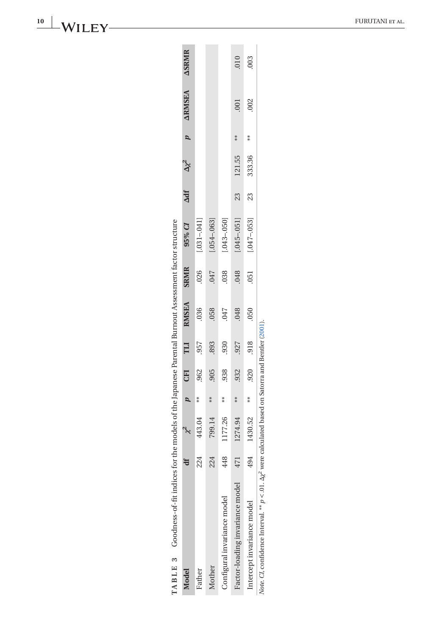|        | TABLE 3 Goodness-of-fit indices for the models of the Japanese Parental Burnout Assessment factor structure                  |     |         |                  |            |            |              |             |                   |            |                 |                |               |               |
|--------|------------------------------------------------------------------------------------------------------------------------------|-----|---------|------------------|------------|------------|--------------|-------------|-------------------|------------|-----------------|----------------|---------------|---------------|
| Model  |                                                                                                                              |     |         | $\boldsymbol{q}$ | <b>CFI</b> | <b>TIT</b> | <b>RMSEA</b> | <b>SRMR</b> | 95% CI            | <b>Adf</b> | $\Delta \chi^2$ | $\overline{a}$ | <b>ARMSEA</b> | <b>ASRMIR</b> |
| Father |                                                                                                                              | 224 | 443.04  | $*$              | .962       | .957       | .036         | .026        | $[-031 - 041]$    |            |                 |                |               |               |
| Mother |                                                                                                                              | 224 | 799.14  | $*$              | .905       | .893       | .058         | 747         | $(0.054 - 0.063)$ |            |                 |                |               |               |
|        | Configural invariance model                                                                                                  | 448 | 177.26  | $* \atop *}$     | 938        | .930       | .047         | .038        | $[0.043 - 0.050]$ |            |                 |                |               |               |
|        | Factor-loading invariance model                                                                                              | 471 | 1274.94 | $*$              | .932       | .927       | .048         | .048        | $[.045 - .051]$   | 23         | 121.55          | $*$            | .001          | 010           |
|        | Intercept invariance model                                                                                                   | 494 | 1430.52 | $*$              | .920       | .918       | .050         | 051         | $[.047 - .053]$   | 23         | 333.36          | $**$           | .002          | 003           |
|        | Note CI, confidence Interval. <sup>**</sup> $p < 0.1$ . $\Delta \chi^2$ were calculated based on Satorra and Bentler (2001). |     |         |                  |            |            |              |             |                   |            |                 |                |               |               |

- 롱  $\frac{1}{2}$ Ť  $+$  $f_2$  $H^+$   $\Delta$  $\mathbb{R}$  $E_{\alpha}$  $\overline{a}$  $\mathbf{H}$  $\frac{1}{2}$ ÷, آءَ← ਵੱ .∶ ∔<br>Ք 주 Č  $\alpha$  $\mathbf{r}$  $\blacksquare$  $\sim$ 

<span id="page-9-0"></span>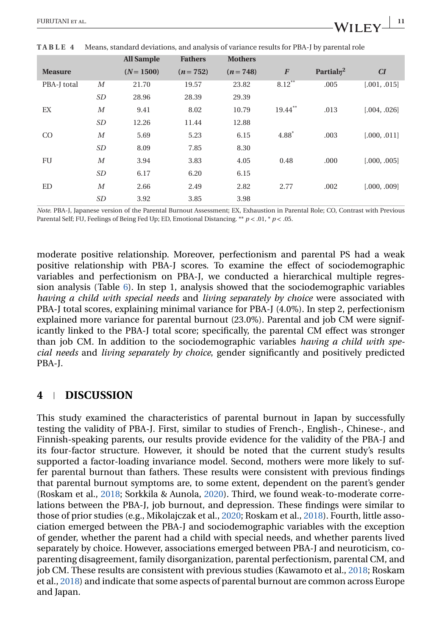|                |                  | All Sample   | <b>Fathers</b> | <b>Mothers</b> |                  |               |              |
|----------------|------------------|--------------|----------------|----------------|------------------|---------------|--------------|
| <b>Measure</b> |                  | $(N = 1500)$ | $(n=752)$      | $(n=748)$      | $\boldsymbol{F}$ | Partial $n^2$ | CI           |
| PBA-J total    | $\boldsymbol{M}$ | 21.70        | 19.57          | 23.82          | $8.12***$        | .005          | [.001, .015] |
|                | SD               | 28.96        | 28.39          | 29.39          |                  |               |              |
| EX             | $\boldsymbol{M}$ | 9.41         | 8.02           | 10.79          | 19.44**          | .013          | [.004, .026] |
|                | SD               | 12.26        | 11.44          | 12.88          |                  |               |              |
| <sub>CO</sub>  | $\boldsymbol{M}$ | 5.69         | 5.23           | 6.15           | $4.88*$          | .003          | [.000, .011] |
|                | SD               | 8.09         | 7.85           | 8.30           |                  |               |              |
| FU             | $\boldsymbol{M}$ | 3.94         | 3.83           | 4.05           | 0.48             | .000          | [.000, .005] |
|                | SD               | 6.17         | 6.20           | 6.15           |                  |               |              |
| ED             | $\boldsymbol{M}$ | 2.66         | 2.49           | 2.82           | 2.77             | .002          | [.000, .009] |
|                | SD               | 3.92         | 3.85           | 3.98           |                  |               |              |

<span id="page-10-0"></span>**TABLE 4** Means, standard deviations, and analysis of variance results for PBA-J by parental role

*Note*. PBA-J, Japanese version of the Parental Burnout Assessment; EX, Exhaustion in Parental Role; CO, Contrast with Previous Parental Self; FU, Feelings of Being Fed Up; ED, Emotional Distancing. \*\* *p* < .01, \* *p* < .05.

moderate positive relationship. Moreover, perfectionism and parental PS had a weak positive relationship with PBA-J scores. To examine the effect of sociodemographic variables and perfectionism on PBA-J, we conducted a hierarchical multiple regression analysis (Table [6\)](#page-12-0). In step 1, analysis showed that the sociodemographic variables *having a child with special needs* and *living separately by choice* were associated with PBA-J total scores, explaining minimal variance for PBA-J (4.0%). In step 2, perfectionism explained more variance for parental burnout (23.0%). Parental and job CM were significantly linked to the PBA-J total score; specifically, the parental CM effect was stronger than job CM. In addition to the sociodemographic variables *having a child with special needs* and *living separately by choice*, gender significantly and positively predicted PBA-J.

### **4 DISCUSSION**

This study examined the characteristics of parental burnout in Japan by successfully testing the validity of PBA-J. First, similar to studies of French-, English-, Chinese-, and Finnish-speaking parents, our results provide evidence for the validity of the PBA-J and its four-factor structure. However, it should be noted that the current study's results supported a factor-loading invariance model. Second, mothers were more likely to suffer parental burnout than fathers. These results were consistent with previous findings that parental burnout symptoms are, to some extent, dependent on the parent's gender (Roskam et al., [2018;](#page-15-0) Sorkkila & Aunola, [2020\)](#page-15-0). Third, we found weak-to-moderate correlations between the PBA-J, job burnout, and depression. These findings were similar to those of prior studies (e.g., Mikolajczak et al., [2020;](#page-15-0) Roskam et al., [2018\)](#page-15-0). Fourth, little association emerged between the PBA-J and sociodemographic variables with the exception of gender, whether the parent had a child with special needs, and whether parents lived separately by choice. However, associations emerged between PBA-J and neuroticism, coparenting disagreement, family disorganization, parental perfectionism, parental CM, and job CM. These results are consistent with previous studies (Kawamoto et al., [2018;](#page-15-0) Roskam et al., [2018\)](#page-15-0) and indicate that some aspects of parental burnout are common across Europe and Japan.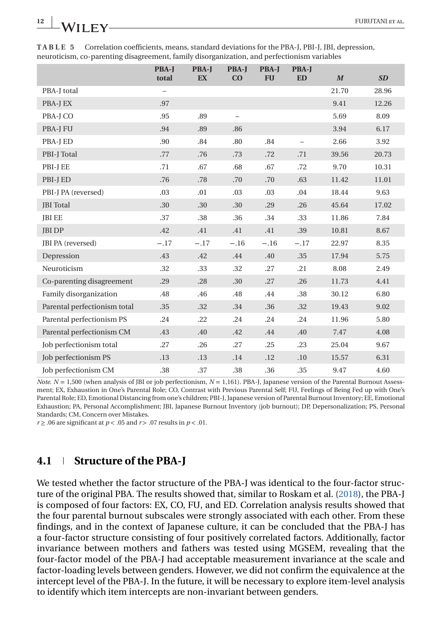|                              | <b>PBA-J</b><br>total    | <b>PBA-J</b><br><b>EX</b> | <b>PBA-J</b><br>CO | <b>PBA-J</b><br><b>FU</b> | <b>PBA-J</b><br><b>ED</b> | $\boldsymbol{M}$ | SD    |
|------------------------------|--------------------------|---------------------------|--------------------|---------------------------|---------------------------|------------------|-------|
| PBA-J total                  | $\overline{\phantom{m}}$ |                           |                    |                           |                           | 21.70            | 28.96 |
| PBA-J EX                     | .97                      |                           |                    |                           |                           | 9.41             | 12.26 |
| PBA-J CO                     | .95                      | .89                       | $\qquad \qquad -$  |                           |                           | 5.69             | 8.09  |
| <b>PBA-J FU</b>              | .94                      | .89                       | .86                |                           |                           | 3.94             | 6.17  |
| PBA-J ED                     | .90                      | .84                       | .80                | .84                       | $\qquad \qquad -$         | 2.66             | 3.92  |
| PBI-J Total                  | .77                      | .76                       | .73                | .72                       | .71                       | 39.56            | 20.73 |
| PBI-J EE                     | .71                      | .67                       | .68                | .67                       | .72                       | 9.70             | 10.31 |
| PBI-J ED                     | .76                      | .78                       | .70                | .70                       | .63                       | 11.42            | 11.01 |
| PBI-J PA (reversed)          | .03                      | .01                       | .03                | .03                       | .04                       | 18.44            | 9.63  |
| <b>JBI</b> Total             | .30                      | .30                       | .30                | .29                       | .26                       | 45.64            | 17.02 |
| <b>JBI EE</b>                | .37                      | .38                       | .36                | .34                       | .33                       | 11.86            | 7.84  |
| <b>JBI DP</b>                | .42                      | .41                       | .41                | .41                       | .39                       | 10.81            | 8.67  |
| JBI PA (reversed)            | $-.17$                   | $-.17$                    | $-.16$             | $-.16$                    | $-.17$                    | 22.97            | 8.35  |
| Depression                   | .43                      | .42                       | .44                | .40                       | .35                       | 17.94            | 5.75  |
| Neuroticism                  | .32                      | .33                       | .32                | .27                       | .21                       | 8.08             | 2.49  |
| Co-parenting disagreement    | .29                      | .28                       | .30                | .27                       | .26                       | 11.73            | 4.41  |
| Family disorganization       | .48                      | .46                       | .48                | .44                       | .38                       | 30.12            | 6.80  |
| Parental perfectionism total | .35                      | .32                       | .34                | .36                       | .32                       | 19.43            | 9.02  |
| Parental perfectionism PS    | .24                      | .22                       | .24                | .24                       | .24                       | 11.96            | 5.80  |
| Parental perfectionism CM    | .43                      | .40                       | .42                | .44                       | .40                       | 7.47             | 4.08  |
| Job perfectionism total      | .27                      | .26                       | .27                | .25                       | .23                       | 25.04            | 9.67  |
| Job perfectionism PS         | .13                      | .13                       | .14                | .12                       | .10                       | 15.57            | 6.31  |
| Job perfectionism CM         | .38                      | .37                       | .38                | .36                       | .35                       | 9.47             | 4.60  |

**TABLE 5** Correlation coefficients, means, standard deviations for the PBA-J, PBI-J, JBI, depression, neuroticism, co-parenting disagreement, family disorganization, and perfectionism variables

*Note*.  $N = 1,500$  (when analysis of JBI or job perfectionism,  $N = 1,161$ ). PBA-J, Japanese version of the Parental Burnout Assessment; EX, Exhaustion in One's Parental Role; CO, Contrast with Previous Parental Self; FU, Feelings of Being Fed up with One's Parental Role; ED, Emotional Distancing from one's children; PBI-J, Japanese version of Parental Burnout Inventory; EE, Emotional Exhaustion; PA, Personal Accomplishment; JBI, Japanese Burnout Inventory (job burnout); DP, Depersonalization; PS, Personal Standards; CM, Concern over Mistakes.

*r* ≥ .06 are significant at *p* < .05 and *r* > .07 results in *p* < .01.

### **4.1 Structure of the PBA-J**

We tested whether the factor structure of the PBA-J was identical to the four-factor structure of the original PBA. The results showed that, similar to Roskam et al. [\(2018\)](#page-15-0), the PBA-J is composed of four factors: EX, CO, FU, and ED. Correlation analysis results showed that the four parental burnout subscales were strongly associated with each other. From these findings, and in the context of Japanese culture, it can be concluded that the PBA-J has a four-factor structure consisting of four positively correlated factors. Additionally, factor invariance between mothers and fathers was tested using MGSEM, revealing that the four-factor model of the PBA-J had acceptable measurement invariance at the scale and factor-loading levels between genders. However, we did not confirm the equivalence at the intercept level of the PBA-J. In the future, it will be necessary to explore item-level analysis to identify which item intercepts are non-invariant between genders.

<span id="page-11-0"></span>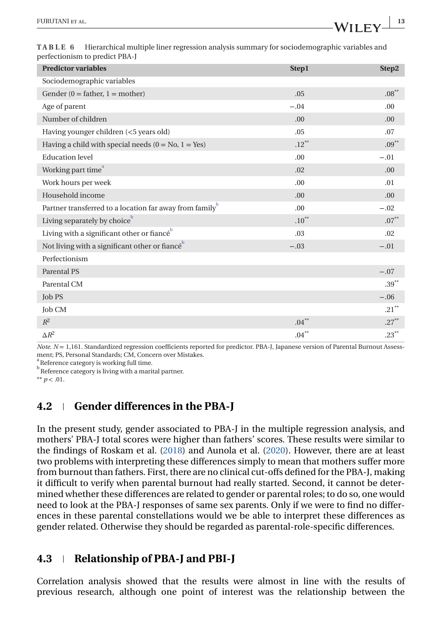| <b>Predictor variables</b>                                          | <b>Step1</b> | Step2            |
|---------------------------------------------------------------------|--------------|------------------|
| Sociodemographic variables                                          |              |                  |
| Gender $(0 = \text{father}, 1 = \text{mother})$                     | .05          | $.08^{\ast\ast}$ |
| Age of parent                                                       | $-.04$       | .00              |
| Number of children                                                  | .00          | .00              |
| Having younger children (<5 years old)                              | .05          | .07              |
| Having a child with special needs $(0 = No, 1 = Yes)$               | $.12***$     | $.09***$         |
| <b>Education</b> level                                              | .00          | $-.01$           |
| Working part time <sup>a</sup>                                      | .02          | .00              |
| Work hours per week                                                 | .00          | .01              |
| Household income                                                    | .00          | .00              |
| Partner transferred to a location far away from family <sup>b</sup> | .00          | $-.02$           |
| Living separately by choice <sup>b</sup>                            | $.10***$     | $.07***$         |
| Living with a significant other or fiance <sup>b</sup>              | .03          | .02              |
| Not living with a significant other or fiance <sup>b</sup>          | $-.03$       | $-.01$           |
| Perfectionism                                                       |              |                  |
| Parental PS                                                         |              | $-.07$           |
| Parental CM                                                         |              | $.39***$         |
| Job PS                                                              |              | $-.06$           |
| <b>Job CM</b>                                                       |              | $.21***$         |
| $R^2$                                                               | $.04***$     | $.27***$         |
| $\Delta R^2$                                                        | $.04***$     | $.23***$         |

<span id="page-12-0"></span>

| TABLE 6 Hierarchical multiple liner regression analysis summary for sociodemographic variables and |
|----------------------------------------------------------------------------------------------------|
| perfectionism to predict PBA-J                                                                     |

*Note. N* = 1,161. Standardized regression coefficients reported for predictor. PBA-J, Japanese version of Parental Burnout Assessment; PS, Personal Standards; CM, Concern over Mistakes.

 $\int_{1}^{a}$  Reference category is working full time.

<sup>b</sup> Reference category is living with a marital partner.

 $*$  *p* < .01.

## **4.2 Gender differences in the PBA-J**

In the present study, gender associated to PBA-J in the multiple regression analysis, and mothers' PBA-J total scores were higher than fathers' scores. These results were similar to the findings of Roskam et al. [\(2018\)](#page-15-0) and Aunola et al. [\(2020\)](#page-14-0). However, there are at least two problems with interpreting these differences simply to mean that mothers suffer more from burnout than fathers. First, there are no clinical cut-offs defined for the PBA-J, making it difficult to verify when parental burnout had really started. Second, it cannot be determined whether these differences are related to gender or parental roles; to do so, one would need to look at the PBA-J responses of same sex parents. Only if we were to find no differences in these parental constellations would we be able to interpret these differences as gender related. Otherwise they should be regarded as parental-role-specific differences.

## **4.3 Relationship of PBA-J and PBI-J**

Correlation analysis showed that the results were almost in line with the results of previous research, although one point of interest was the relationship between the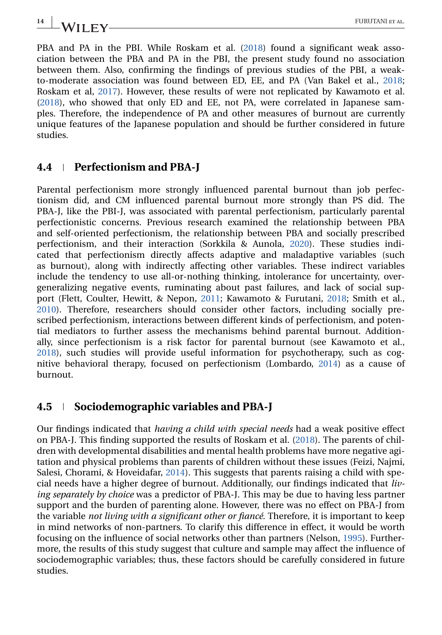PBA and PA in the PBI. While Roskam et al. [\(2018\)](#page-15-0) found a significant weak association between the PBA and PA in the PBI, the present study found no association between them. Also, confirming the findings of previous studies of the PBI, a weakto-moderate association was found between ED, EE, and PA (Van Bakel et al., [2018;](#page-16-0) Roskam et al, [2017\)](#page-15-0). However, these results of were not replicated by Kawamoto et al. [\(2018\)](#page-15-0), who showed that only ED and EE, not PA, were correlated in Japanese samples. Therefore, the independence of PA and other measures of burnout are currently unique features of the Japanese population and should be further considered in future studies.

### **4.4 Perfectionism and PBA-J**

Parental perfectionism more strongly influenced parental burnout than job perfectionism did, and CM influenced parental burnout more strongly than PS did. The PBA-J, like the PBI-J, was associated with parental perfectionism, particularly parental perfectionistic concerns. Previous research examined the relationship between PBA and self-oriented perfectionism, the relationship between PBA and socially prescribed perfectionism, and their interaction (Sorkkila & Aunola, [2020\)](#page-15-0). These studies indicated that perfectionism directly affects adaptive and maladaptive variables (such as burnout), along with indirectly affecting other variables. These indirect variables include the tendency to use all-or-nothing thinking, intolerance for uncertainty, overgeneralizing negative events, ruminating about past failures, and lack of social support (Flett, Coulter, Hewitt, & Nepon, [2011;](#page-14-0) Kawamoto & Furutani, [2018;](#page-15-0) Smith et al., [2010\)](#page-15-0). Therefore, researchers should consider other factors, including socially prescribed perfectionism, interactions between different kinds of perfectionism, and potential mediators to further assess the mechanisms behind parental burnout. Additionally, since perfectionism is a risk factor for parental burnout (see Kawamoto et al., [2018\)](#page-15-0), such studies will provide useful information for psychotherapy, such as cognitive behavioral therapy, focused on perfectionism (Lombardo, [2014\)](#page-15-0) as a cause of burnout.

### **4.5 Sociodemographic variables and PBA-J**

Our findings indicated that *having a child with special needs* had a weak positive effect on PBA-J. This finding supported the results of Roskam et al. [\(2018\)](#page-15-0). The parents of children with developmental disabilities and mental health problems have more negative agitation and physical problems than parents of children without these issues (Feizi, Najmi, Salesi, Chorami, & Hoveidafar, [2014\)](#page-14-0). This suggests that parents raising a child with special needs have a higher degree of burnout. Additionally, our findings indicated that *living separately by choice* was a predictor of PBA-J. This may be due to having less partner support and the burden of parenting alone. However, there was no effect on PBA-J from the variable *not living with a significant other or fiancé*. Therefore, it is important to keep in mind networks of non-partners. To clarify this difference in effect, it would be worth focusing on the influence of social networks other than partners (Nelson, [1995\)](#page-15-0). Furthermore, the results of this study suggest that culture and sample may affect the influence of sociodemographic variables; thus, these factors should be carefully considered in future studies.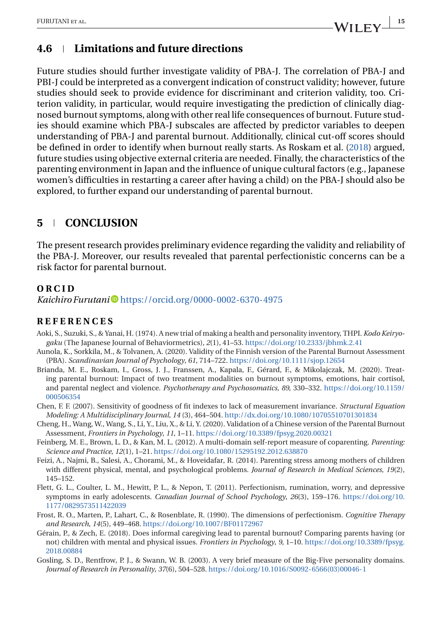### <span id="page-14-0"></span>**4.6 Limitations and future directions**

Future studies should further investigate validity of PBA-J. The correlation of PBA-J and PBI-J could be interpreted as a convergent indication of construct validity; however, future studies should seek to provide evidence for discriminant and criterion validity, too. Criterion validity, in particular, would require investigating the prediction of clinically diagnosed burnout symptoms, along with other real life consequences of burnout. Future studies should examine which PBA-J subscales are affected by predictor variables to deepen understanding of PBA-J and parental burnout. Additionally, clinical cut-off scores should be defined in order to identify when burnout really starts. As Roskam et al. [\(2018\)](#page-15-0) argued, future studies using objective external criteria are needed. Finally, the characteristics of the parenting environment in Japan and the influence of unique cultural factors (e.g., Japanese women's difficulties in restarting a career after having a child) on the PBA-J should also be explored, to further expand our understanding of parental burnout.

### **5 CONCLUSION**

The present research provides preliminary evidence regarding the validity and reliability of the PBA-J. Moreover, our results revealed that parental perfectionistic concerns can be a risk factor for parental burnout.

### **ORCID**

*Kaichiro Furutani* • <https://orcid.org/0000-0002-6370-4975>

#### **REFERENCES**

- Aoki, S., Suzuki, S., & Yanai, H. (1974). A new trial of making a health and personality inventory, THPI. *Kodo Keiryogaku* (The Japanese Journal of Behaviormetrics), *2*(1), 41–53. <https://doi.org/10.2333/jbhmk.2.41>
- Aunola, K., Sorkkila, M., & Tolvanen, A. (2020). Validity of the Finnish version of the Parental Burnout Assessment (PBA). *Scandinavian Journal of Psychology*, *61*, 714–722. <https://doi.org/10.1111/sjop.12654>
- Brianda, M. E., Roskam, I., Gross, J. J., Franssen, A., Kapala, F., Gérard, F., & Mikolajczak, M. (2020). Treating parental burnout: Impact of two treatment modalities on burnout symptoms, emotions, hair cortisol, and parental neglect and violence. *Psychotherapy and Psychosomatics*, *89*, 330–332. [https://doi.org/10.1159/](https://doi.org/10.1159/000506354) [000506354](https://doi.org/10.1159/000506354)
- Chen, F. F. (2007). Sensitivity of goodness of fit indexes to lack of measurement invariance. *Structural Equation Modeling: A Multidisciplinary Journal*, *14* (3), 464–504. <http://dx.doi.org/10.1080/10705510701301834>
- Cheng, H., Wang, W., Wang, S., Li, Y., Liu, X., & Li, Y. (2020). Validation of a Chinese version of the Parental Burnout Assessment, *Frontiers in Psychology*, *11*, 1–11. <https://doi.org/10.3389/fpsyg.2020.00321>
- Feinberg, M. E., Brown, L. D., & Kan, M. L. (2012). A multi-domain self-report measure of coparenting. *Parenting: Science and Practice*, *12*(1), 1–21. <https://doi.org/10.1080/15295192.2012.638870>
- Feizi, A., Najmi, B., Salesi, A., Chorami, M., & Hoveidafar, R. (2014). Parenting stress among mothers of children with different physical, mental, and psychological problems. *Journal of Research in Medical Sciences*, *19*(2), 145–152.
- Flett, G. L., Coulter, L. M., Hewitt, P. L., & Nepon, T. (2011). Perfectionism, rumination, worry, and depressive symptoms in early adolescents. *Canadian Journal of School Psychology*, *26*(3), 159–176. [https://doi.org/10.](https://doi.org/10.1177/0829573511422039) [1177/0829573511422039](https://doi.org/10.1177/0829573511422039)
- Frost, R. O., Marten, P., Lahart, C., & Rosenblate, R. (1990). The dimensions of perfectionism. *Cognitive Therapy and Research*, *14*(5), 449–468. <https://doi.org/10.1007/BF01172967>
- Gérain, P., & Zech, E. (2018). Does informal caregiving lead to parental burnout? Comparing parents having (or not) children with mental and physical issues. *Frontiers in Psychology*, *9*, 1–10. [https://doi.org/10.3389/fpsyg.](https://doi.org/10.3389/fpsyg.2018.00884) [2018.00884](https://doi.org/10.3389/fpsyg.2018.00884)
- Gosling, S. D., Rentfrow, P. J., & Swann, W. B. (2003). A very brief measure of the Big-Five personality domains. *Journal of Research in Personality*, *37*(6), 504–528. [https://doi.org/10.1016/S0092-6566\(03\)00046-1](https://doi.org/10.1016/S0092-6566(03)00046-1)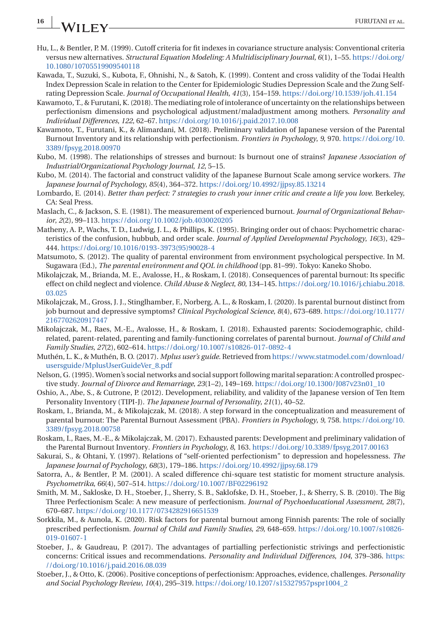# <span id="page-15-0"></span>**16 WILEY** FURUTANI ET AL.

- Hu, L., & Bentler, P. M. (1999). Cutoff criteria for fit indexes in covariance structure analysis: Conventional criteria versus new alternatives. *Structural Equation Modeling: A Multidisciplinary Journal*, *6*(1), 1–55. [https://doi.org/](https://doi.org/10.1080/10705519909540118) [10.1080/10705519909540118](https://doi.org/10.1080/10705519909540118)
- Kawada, T., Suzuki, S., Kubota, F., Ohnishi, N., & Satoh, K. (1999). Content and cross validity of the Todai Health Index Depression Scale in relation to the Center for Epidemiologic Studies Depression Scale and the Zung Selfrating Depression Scale. *Journal of Occupational Health*, *41*(3), 154–159. <https://doi.org/10.1539/joh.41.154>
- Kawamoto, T., & Furutani, K. (2018). The mediating role of intolerance of uncertainty on the relationships between perfectionism dimensions and psychological adjustment/maladjustment among mothers. *Personality and Individual Differences*, *122*, 62–67. <https://doi.org/10.1016/j.paid.2017.10.008>
- Kawamoto, T., Furutani, K., & Alimardani, M. (2018). Preliminary validation of Japanese version of the Parental Burnout Inventory and its relationship with perfectionism. *Frontiers in Psychology*, *9*, 970. [https://doi.org/10.](https://doi.org/10.3389/fpsyg.2018.00970) [3389/fpsyg.2018.00970](https://doi.org/10.3389/fpsyg.2018.00970)
- Kubo, M. (1998). The relationships of stresses and burnout: Is burnout one of strains? *Japanese Association of Industrial/Organizational Psychology Journal*, *12*, 5–15.
- Kubo, M. (2014). The factorial and construct validity of the Japanese Burnout Scale among service workers. *The Japanese Journal of Psychology*, *85*(4), 364–372. <https://doi.org/10.4992/jjpsy.85.13214>
- Lombardo, E. (2014). *Better than perfect: 7 strategies to crush your inner critic and create a life you love*. Berkeley, CA: Seal Press.
- Maslach, C., & Jackson, S. E. (1981). The measurement of experienced burnout. *Journal of Organizational Behavior*, *2*(2), 99–113. <https://doi.org/10.1002/job.4030020205>
- Matheny, A. P., Wachs, T. D., Ludwig, J. L., & Phillips, K. (1995). Bringing order out of chaos: Psychometric characteristics of the confusion, hubbub, and order scale. *Journal of Applied Developmental Psychology*, *16*(3), 429– 444. [https://doi.org/10.1016/0193-3973\(95\)90028-4](https://doi.org/10.1016/0193-3973(95)90028-4)
- Matsumoto, S. (2012). The quality of parental environment from environment psychological perspective. In M. Sugawara (Ed.), *The parental environment and QOL in childhood* (pp. 81–99). Tokyo: Kaneko Shobo.
- Mikolajczak, M., Brianda, M. E., Avalosse, H., & Roskam, I. (2018). Consequences of parental burnout: Its specific effect on child neglect and violence. *Child Abuse & Neglect*, *80*, 134–145. [https://doi.org/10.1016/j.chiabu.2018.](https://doi.org/10.1016/j.chiabu.2018.03.025) [03.025](https://doi.org/10.1016/j.chiabu.2018.03.025)
- Mikolajczak, M., Gross, J. J., Stinglhamber, F., Norberg, A. L., & Roskam, I. (2020). Is parental burnout distinct from job burnout and depressive symptoms? *Clinical Psychological Science*, *8*(4), 673–689. [https://doi.org/10.1177/](https://doi.org/10.1177/2167702620917447) [2167702620917447](https://doi.org/10.1177/2167702620917447)
- Mikolajczak, M., Raes, M.-E., Avalosse, H., & Roskam, I. (2018). Exhausted parents: Sociodemographic, childrelated, parent-related, parenting and family-functioning correlates of parental burnout. *Journal of Child and Family Studies*, *27*(2), 602–614. <https://doi.org/10.1007/s10826-017-0892-4>
- Muthén, L. K., & Muthén, B. O. (2017). *Mplus user's guide*. Retrieved from [https://www.statmodel.com/download/](https://www.statmodel.com/download/usersguide/MplusUserGuideVer_8.pdf) [usersguide/MplusUserGuideVer\\_8.pdf](https://www.statmodel.com/download/usersguide/MplusUserGuideVer_8.pdf)
- Nelson, G. (1995). Women's social networks and social support following marital separation: A controlled prospective study. *Journal of Divorce and Remarriage*, *23*(1–2), 149–169. [https://doi.org/10.1300/J087v23n01\\_10](https://doi.org/10.1300/J087v23n01_10)
- Oshio, A., Abe, S., & Cutrone, P. (2012). Development, reliability, and validity of the Japanese version of Ten Item Personality Inventory (TIPI-J). *The Japanese Journal of Personality*, *21*(1), 40–52.
- Roskam, I., Brianda, M., & Mikolajczak, M. (2018). A step forward in the conceptualization and measurement of parental burnout: The Parental Burnout Assessment (PBA). *Frontiers in Psychology*, *9*, 758. [https://doi.org/10.](https://doi.org/10.3389/fpsyg.2018.00758) [3389/fpsyg.2018.00758](https://doi.org/10.3389/fpsyg.2018.00758)
- Roskam, I., Raes, M.-E., & Mikolajczak, M. (2017). Exhausted parents: Development and preliminary validation of the Parental Burnout Inventory. *Frontiers in Psychology*, *8*, 163. <https://doi.org/10.3389/fpsyg.2017.00163>
- Sakurai, S., & Ohtani, Y. (1997). Relations of "self-oriented perfectionism" to depression and hopelessness. *The Japanese Journal of Psychology*, *68*(3), 179–186. <https://doi.org/10.4992/jjpsy.68.179>
- Satorra, A., & Bentler, P. M. (2001). A scaled difference chi-square test statistic for moment structure analysis. *Psychometrika*, *66*(4), 507–514. <https://doi.org/10.1007/BF02296192>
- Smith, M. M., Sakloske, D. H., Stoeber, J., Sherry, S. B., Saklofske, D. H., Stoeber, J., & Sherry, S. B. (2010). The Big Three Perfectionism Scale: A new measure of perfectionism. *Journal of Psychoeducational Assessment*, *28*(7), 670–687. <https://doi.org/10.1177/0734282916651539>
- Sorkkila, M., & Aunola, K. (2020). Risk factors for parental burnout among Finnish parents: The role of socially prescribed perfectionism. *Journal of Child and Family Studies*, *29*, 648–659. [https://doi.org/10.1007/s10826-](https://doi.org/10.1007/s10826-019-01607-1) [019-01607-1](https://doi.org/10.1007/s10826-019-01607-1)
- Stoeber, J., & Gaudreau, P. (2017). The advantages of partialling perfectionistic strivings and perfectionistic concerns: Critical issues and recommendations. *Personality and Individual Differences*, *104*, 379–386. [https:](https://doi.org/10.1016/j.paid.2016.08.039) [//doi.org/10.1016/j.paid.2016.08.039](https://doi.org/10.1016/j.paid.2016.08.039)
- Stoeber, J., & Otto, K. (2006). Positive conceptions of perfectionism: Approaches, evidence, challenges. *Personality and Social Psychology Review*, *10*(4), 295–319. [https://doi.org/10.1207/s15327957pspr1004\\_2](https://doi.org/10.1207/s15327957pspr1004_2)